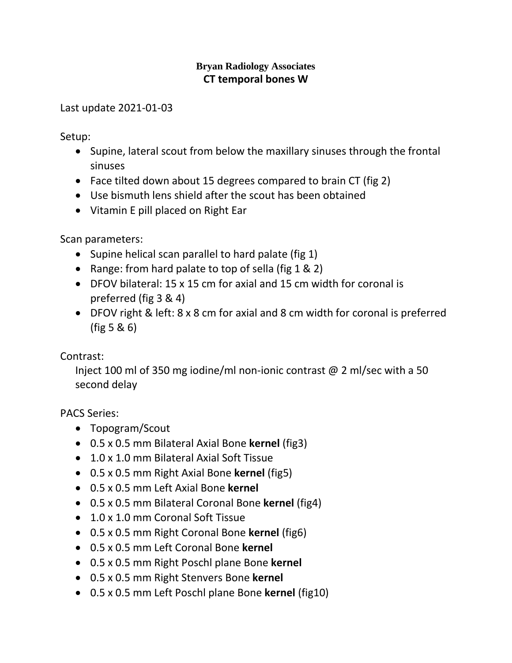## **Bryan Radiology Associates CT temporal bones W**

Last update 2021-01-03

Setup:

- Supine, lateral scout from below the maxillary sinuses through the frontal sinuses
- Face tilted down about 15 degrees compared to brain CT (fig 2)
- Use bismuth lens shield after the scout has been obtained
- Vitamin E pill placed on Right Ear

Scan parameters:

- Supine helical scan parallel to hard palate (fig 1)
- Range: from hard palate to top of sella (fig 1 & 2)
- DFOV bilateral: 15 x 15 cm for axial and 15 cm width for coronal is preferred (fig 3 & 4)
- DFOV right & left: 8 x 8 cm for axial and 8 cm width for coronal is preferred (fig 5 & 6)

Contrast:

Inject 100 ml of 350 mg iodine/ml non-ionic contrast @ 2 ml/sec with a 50 second delay

PACS Series:

- Topogram/Scout
- 0.5 x 0.5 mm Bilateral Axial Bone **kernel** (fig3)
- 1.0 x 1.0 mm Bilateral Axial Soft Tissue
- 0.5 x 0.5 mm Right Axial Bone **kernel** (fig5)
- 0.5 x 0.5 mm Left Axial Bone **kernel**
- 0.5 x 0.5 mm Bilateral Coronal Bone **kernel** (fig4)
- 1.0 x 1.0 mm Coronal Soft Tissue
- 0.5 x 0.5 mm Right Coronal Bone **kernel** (fig6)
- 0.5 x 0.5 mm Left Coronal Bone **kernel**
- 0.5 x 0.5 mm Right Poschl plane Bone **kernel**
- 0.5 x 0.5 mm Right Stenvers Bone **kernel**
- 0.5 x 0.5 mm Left Poschl plane Bone **kernel** (fig10)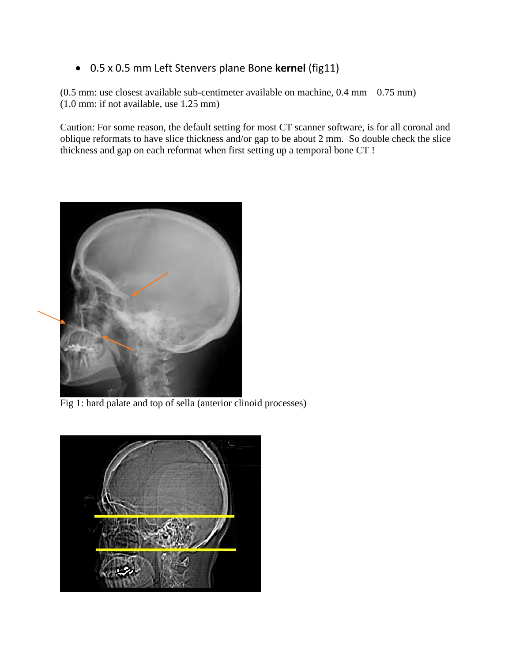## 0.5 x 0.5 mm Left Stenvers plane Bone **kernel** (fig11)

(0.5 mm: use closest available sub-centimeter available on machine, 0.4 mm – 0.75 mm) (1.0 mm: if not available, use 1.25 mm)

Caution: For some reason, the default setting for most CT scanner software, is for all coronal and oblique reformats to have slice thickness and/or gap to be about 2 mm. So double check the slice thickness and gap on each reformat when first setting up a temporal bone CT !



Fig 1: hard palate and top of sella (anterior clinoid processes)

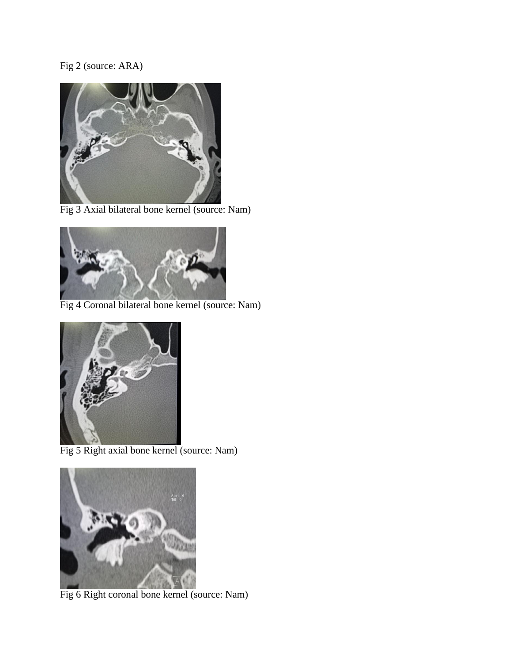## Fig 2 (source: ARA)



Fig 3 Axial bilateral bone kernel (source: Nam)



Fig 4 Coronal bilateral bone kernel (source: Nam)



Fig 5 Right axial bone kernel (source: Nam)



Fig 6 Right coronal bone kernel (source: Nam)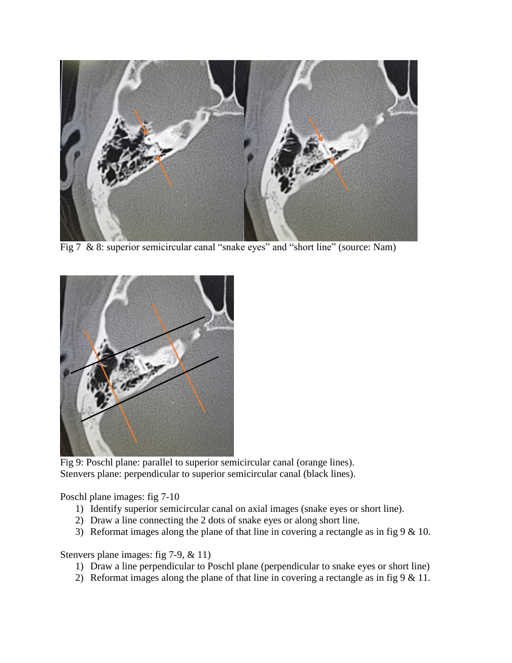

Fig 7 & 8: superior semicircular canal "snake eyes" and "short line" (source: Nam)



Fig 9: Poschl plane: parallel to superior semicircular canal (orange lines). Stenvers plane: perpendicular to superior semicircular canal (black lines).

Poschl plane images: fig 7-10

- 1) Identify superior semicircular canal on axial images (snake eyes or short line).
- 2) Draw a line connecting the 2 dots of snake eyes or along short line.
- 3) Reformat images along the plane of that line in covering a rectangle as in fig  $9 < 10$ .

Stenvers plane images: fig 7-9, & 11)

- 1) Draw a line perpendicular to Poschl plane (perpendicular to snake eyes or short line)
- 2) Reformat images along the plane of that line in covering a rectangle as in fig  $9 < 11$ .